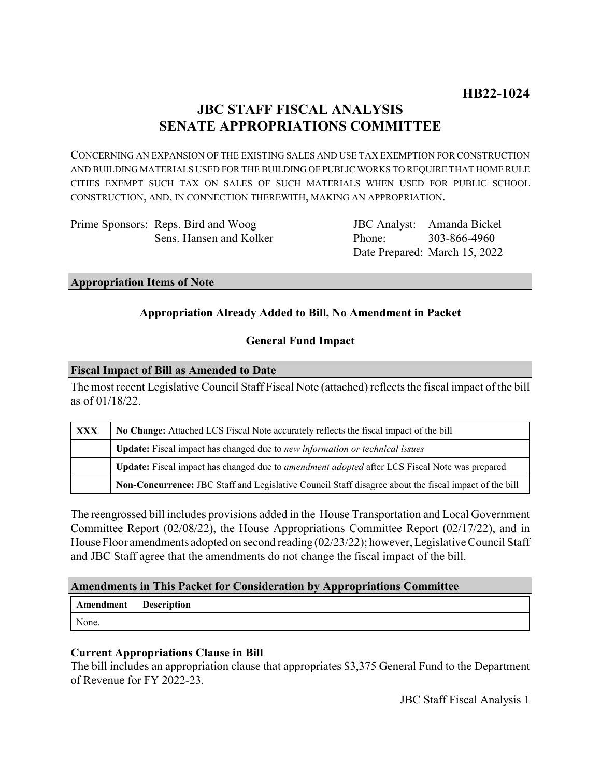# **JBC STAFF FISCAL ANALYSIS SENATE APPROPRIATIONS COMMITTEE**

CONCERNING AN EXPANSION OF THE EXISTING SALES AND USE TAX EXEMPTION FOR CONSTRUCTION AND BUILDING MATERIALS USED FOR THE BUILDING OF PUBLIC WORKS TO REQUIRE THAT HOME RULE CITIES EXEMPT SUCH TAX ON SALES OF SUCH MATERIALS WHEN USED FOR PUBLIC SCHOOL CONSTRUCTION, AND, IN CONNECTION THEREWITH, MAKING AN APPROPRIATION.

| Prime Sponsors: Reps. Bird and Woog |
|-------------------------------------|
| Sens. Hansen and Kolker             |

JBC Analyst: Amanda Bickel Phone: Date Prepared: March 15, 2022 303-866-4960

### **Appropriation Items of Note**

## **Appropriation Already Added to Bill, No Amendment in Packet**

## **General Fund Impact**

### **Fiscal Impact of Bill as Amended to Date**

The most recent Legislative Council Staff Fiscal Note (attached) reflects the fiscal impact of the bill as of 01/18/22.

| <b>XXX</b> | No Change: Attached LCS Fiscal Note accurately reflects the fiscal impact of the bill                 |  |
|------------|-------------------------------------------------------------------------------------------------------|--|
|            | <b>Update:</b> Fiscal impact has changed due to new information or technical issues                   |  |
|            | Update: Fiscal impact has changed due to <i>amendment adopted</i> after LCS Fiscal Note was prepared  |  |
|            | Non-Concurrence: JBC Staff and Legislative Council Staff disagree about the fiscal impact of the bill |  |

The reengrossed bill includes provisions added in the House Transportation and Local Government Committee Report (02/08/22), the House Appropriations Committee Report (02/17/22), and in House Floor amendments adopted on second reading (02/23/22); however, Legislative Council Staff and JBC Staff agree that the amendments do not change the fiscal impact of the bill.

### **Amendments in This Packet for Consideration by Appropriations Committee**

| Amendment | <b>Description</b> |
|-----------|--------------------|
| None.     |                    |

## **Current Appropriations Clause in Bill**

The bill includes an appropriation clause that appropriates \$3,375 General Fund to the Department of Revenue for FY 2022-23.

JBC Staff Fiscal Analysis 1